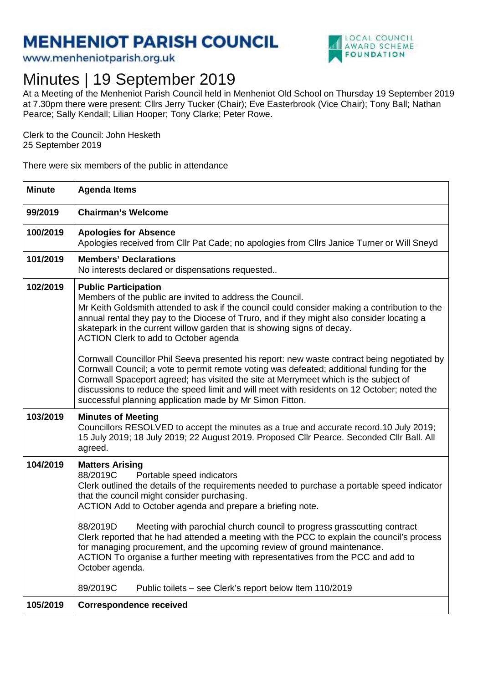## **MENHENIOT PARISH COUNCIL**

www.menheniotparish.org.uk



## Minutes | 19 September 2019

At a Meeting of the Menheniot Parish Council held in Menheniot Old School on Thursday 19 September 2019 at 7.30pm there were present: Cllrs Jerry Tucker (Chair); Eve Easterbrook (Vice Chair); Tony Ball; Nathan Pearce; Sally Kendall; Lilian Hooper; Tony Clarke; Peter Rowe.

Clerk to the Council: John Hesketh 25 September 2019

There were six members of the public in attendance

| <b>Minute</b> | <b>Agenda Items</b>                                                                                                                                                                                                                                                                                                                                                                                                                                                                                                                                                                                                                                                                                                                                                                                                                                       |  |  |  |  |
|---------------|-----------------------------------------------------------------------------------------------------------------------------------------------------------------------------------------------------------------------------------------------------------------------------------------------------------------------------------------------------------------------------------------------------------------------------------------------------------------------------------------------------------------------------------------------------------------------------------------------------------------------------------------------------------------------------------------------------------------------------------------------------------------------------------------------------------------------------------------------------------|--|--|--|--|
| 99/2019       | <b>Chairman's Welcome</b>                                                                                                                                                                                                                                                                                                                                                                                                                                                                                                                                                                                                                                                                                                                                                                                                                                 |  |  |  |  |
| 100/2019      | <b>Apologies for Absence</b><br>Apologies received from Cllr Pat Cade; no apologies from Cllrs Janice Turner or Will Sneyd                                                                                                                                                                                                                                                                                                                                                                                                                                                                                                                                                                                                                                                                                                                                |  |  |  |  |
| 101/2019      | <b>Members' Declarations</b><br>No interests declared or dispensations requested                                                                                                                                                                                                                                                                                                                                                                                                                                                                                                                                                                                                                                                                                                                                                                          |  |  |  |  |
| 102/2019      | <b>Public Participation</b><br>Members of the public are invited to address the Council.<br>Mr Keith Goldsmith attended to ask if the council could consider making a contribution to the<br>annual rental they pay to the Diocese of Truro, and if they might also consider locating a<br>skatepark in the current willow garden that is showing signs of decay.<br>ACTION Clerk to add to October agenda<br>Cornwall Councillor Phil Seeva presented his report: new waste contract being negotiated by<br>Cornwall Council; a vote to permit remote voting was defeated; additional funding for the<br>Cornwall Spaceport agreed; has visited the site at Merrymeet which is the subject of<br>discussions to reduce the speed limit and will meet with residents on 12 October; noted the<br>successful planning application made by Mr Simon Fitton. |  |  |  |  |
| 103/2019      | <b>Minutes of Meeting</b><br>Councillors RESOLVED to accept the minutes as a true and accurate record.10 July 2019;<br>15 July 2019; 18 July 2019; 22 August 2019. Proposed Cllr Pearce. Seconded Cllr Ball. All<br>agreed.                                                                                                                                                                                                                                                                                                                                                                                                                                                                                                                                                                                                                               |  |  |  |  |
| 104/2019      | <b>Matters Arising</b><br>88/2019C<br>Portable speed indicators<br>Clerk outlined the details of the requirements needed to purchase a portable speed indicator<br>that the council might consider purchasing.<br>ACTION Add to October agenda and prepare a briefing note.<br>88/2019D<br>Meeting with parochial church council to progress grasscutting contract<br>Clerk reported that he had attended a meeting with the PCC to explain the council's process<br>for managing procurement, and the upcoming review of ground maintenance.<br>ACTION To organise a further meeting with representatives from the PCC and add to<br>October agenda.                                                                                                                                                                                                     |  |  |  |  |
|               | 89/2019C<br>Public toilets – see Clerk's report below Item 110/2019                                                                                                                                                                                                                                                                                                                                                                                                                                                                                                                                                                                                                                                                                                                                                                                       |  |  |  |  |
| 105/2019      | <b>Correspondence received</b>                                                                                                                                                                                                                                                                                                                                                                                                                                                                                                                                                                                                                                                                                                                                                                                                                            |  |  |  |  |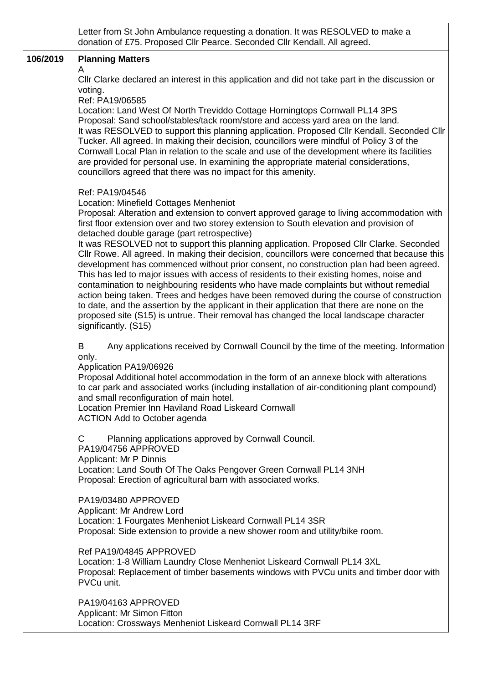|          | Letter from St John Ambulance requesting a donation. It was RESOLVED to make a<br>donation of £75. Proposed Cllr Pearce. Seconded Cllr Kendall. All agreed.                                                                                                                                                                                                                                                                                                                                                                                                                                                                                                                                                                                                                                                                                                                                                                                                                                                                                                                                |  |  |  |
|----------|--------------------------------------------------------------------------------------------------------------------------------------------------------------------------------------------------------------------------------------------------------------------------------------------------------------------------------------------------------------------------------------------------------------------------------------------------------------------------------------------------------------------------------------------------------------------------------------------------------------------------------------------------------------------------------------------------------------------------------------------------------------------------------------------------------------------------------------------------------------------------------------------------------------------------------------------------------------------------------------------------------------------------------------------------------------------------------------------|--|--|--|
| 106/2019 | <b>Planning Matters</b><br>A<br>CIIr Clarke declared an interest in this application and did not take part in the discussion or<br>voting.<br>Ref: PA19/06585<br>Location: Land West Of North Treviddo Cottage Horningtops Cornwall PL14 3PS<br>Proposal: Sand school/stables/tack room/store and access yard area on the land.<br>It was RESOLVED to support this planning application. Proposed Cllr Kendall. Seconded Cllr<br>Tucker. All agreed. In making their decision, councillors were mindful of Policy 3 of the<br>Cornwall Local Plan in relation to the scale and use of the development where its facilities<br>are provided for personal use. In examining the appropriate material considerations,<br>councillors agreed that there was no impact for this amenity.                                                                                                                                                                                                                                                                                                        |  |  |  |
|          | Ref: PA19/04546<br>Location: Minefield Cottages Menheniot<br>Proposal: Alteration and extension to convert approved garage to living accommodation with<br>first floor extension over and two storey extension to South elevation and provision of<br>detached double garage (part retrospective)<br>It was RESOLVED not to support this planning application. Proposed Cllr Clarke. Seconded<br>Cllr Rowe. All agreed. In making their decision, councillors were concerned that because this<br>development has commenced without prior consent, no construction plan had been agreed.<br>This has led to major issues with access of residents to their existing homes, noise and<br>contamination to neighbouring residents who have made complaints but without remedial<br>action being taken. Trees and hedges have been removed during the course of construction<br>to date, and the assertion by the applicant in their application that there are none on the<br>proposed site (S15) is untrue. Their removal has changed the local landscape character<br>significantly. (S15) |  |  |  |
|          | Any applications received by Cornwall Council by the time of the meeting. Information<br>B<br>only.<br>Application PA19/06926<br>Proposal Additional hotel accommodation in the form of an annexe block with alterations<br>to car park and associated works (including installation of air-conditioning plant compound)<br>and small reconfiguration of main hotel.<br>Location Premier Inn Haviland Road Liskeard Cornwall<br><b>ACTION Add to October agenda</b><br>C<br>Planning applications approved by Cornwall Council.<br>PA19/04756 APPROVED                                                                                                                                                                                                                                                                                                                                                                                                                                                                                                                                     |  |  |  |
|          | Applicant: Mr P Dinnis<br>Location: Land South Of The Oaks Pengover Green Cornwall PL14 3NH<br>Proposal: Erection of agricultural barn with associated works.<br>PA19/03480 APPROVED<br>Applicant: Mr Andrew Lord<br>Location: 1 Fourgates Menheniot Liskeard Cornwall PL14 3SR<br>Proposal: Side extension to provide a new shower room and utility/bike room.                                                                                                                                                                                                                                                                                                                                                                                                                                                                                                                                                                                                                                                                                                                            |  |  |  |
|          | Ref PA19/04845 APPROVED<br>Location: 1-8 William Laundry Close Menheniot Liskeard Cornwall PL14 3XL<br>Proposal: Replacement of timber basements windows with PVCu units and timber door with<br>PVCu unit.                                                                                                                                                                                                                                                                                                                                                                                                                                                                                                                                                                                                                                                                                                                                                                                                                                                                                |  |  |  |
|          | PA19/04163 APPROVED<br>Applicant: Mr Simon Fitton<br>Location: Crossways Menheniot Liskeard Cornwall PL14 3RF                                                                                                                                                                                                                                                                                                                                                                                                                                                                                                                                                                                                                                                                                                                                                                                                                                                                                                                                                                              |  |  |  |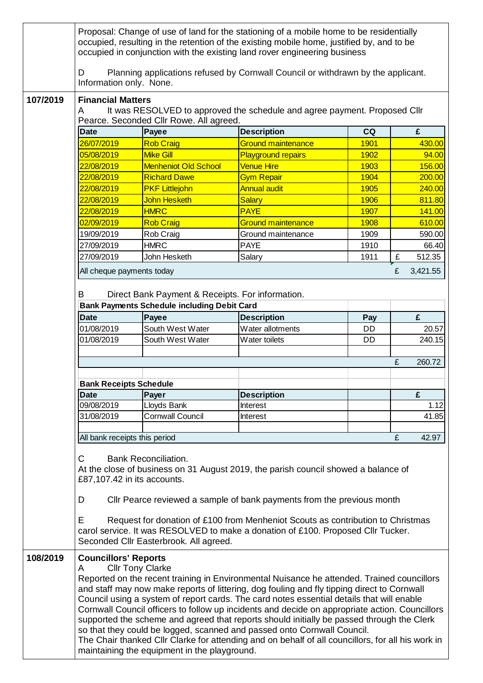|          | Proposal: Change of use of land for the stationing of a mobile home to be residentially<br>occupied, resulting in the retention of the existing mobile home, justified by, and to be<br>occupied in conjunction with the existing land rover engineering business                                                                                                                                                                                                                                                                                                                                                                                                                                                                                                                    |                                                    |                                                                                  |           |               |  |  |
|----------|--------------------------------------------------------------------------------------------------------------------------------------------------------------------------------------------------------------------------------------------------------------------------------------------------------------------------------------------------------------------------------------------------------------------------------------------------------------------------------------------------------------------------------------------------------------------------------------------------------------------------------------------------------------------------------------------------------------------------------------------------------------------------------------|----------------------------------------------------|----------------------------------------------------------------------------------|-----------|---------------|--|--|
|          | D<br>Information only. None.                                                                                                                                                                                                                                                                                                                                                                                                                                                                                                                                                                                                                                                                                                                                                         |                                                    | Planning applications refused by Cornwall Council or withdrawn by the applicant. |           |               |  |  |
| 107/2019 | <b>Financial Matters</b><br>It was RESOLVED to approved the schedule and agree payment. Proposed Cllr<br>A<br>Pearce. Seconded Cllr Rowe. All agreed.                                                                                                                                                                                                                                                                                                                                                                                                                                                                                                                                                                                                                                |                                                    |                                                                                  |           |               |  |  |
|          | <b>Date</b>                                                                                                                                                                                                                                                                                                                                                                                                                                                                                                                                                                                                                                                                                                                                                                          | Payee                                              | <b>Description</b>                                                               | CQ        | £             |  |  |
|          | 26/07/2019                                                                                                                                                                                                                                                                                                                                                                                                                                                                                                                                                                                                                                                                                                                                                                           | <b>Rob Craig</b>                                   | <b>Ground maintenance</b>                                                        | 1901      | 430.00        |  |  |
|          | 05/08/2019                                                                                                                                                                                                                                                                                                                                                                                                                                                                                                                                                                                                                                                                                                                                                                           | <b>Mike Gill</b>                                   | <b>Playground repairs</b>                                                        | 1902      | 94.00         |  |  |
|          | 22/08/2019                                                                                                                                                                                                                                                                                                                                                                                                                                                                                                                                                                                                                                                                                                                                                                           | <b>Menheniot Old School</b>                        | <b>Venue Hire</b>                                                                | 1903      | 156.00        |  |  |
|          | 22/08/2019                                                                                                                                                                                                                                                                                                                                                                                                                                                                                                                                                                                                                                                                                                                                                                           | <b>Richard Dawe</b>                                | <b>Gym Repair</b>                                                                | 1904      | 200.00        |  |  |
|          | 22/08/2019                                                                                                                                                                                                                                                                                                                                                                                                                                                                                                                                                                                                                                                                                                                                                                           | <b>PKF Littlejohn</b>                              | <b>Annual audit</b>                                                              | 1905      | 240.00        |  |  |
|          | 22/08/2019                                                                                                                                                                                                                                                                                                                                                                                                                                                                                                                                                                                                                                                                                                                                                                           | John Hesketh                                       | <b>Salary</b>                                                                    | 1906      | 811.80        |  |  |
|          | 22/08/2019                                                                                                                                                                                                                                                                                                                                                                                                                                                                                                                                                                                                                                                                                                                                                                           | <b>HMRC</b>                                        | <b>PAYE</b>                                                                      | 1907      | 141.00        |  |  |
|          | 02/09/2019                                                                                                                                                                                                                                                                                                                                                                                                                                                                                                                                                                                                                                                                                                                                                                           | <b>Rob Craig</b>                                   | <b>Ground maintenance</b>                                                        | 1908      | 610.00        |  |  |
|          | 19/09/2019                                                                                                                                                                                                                                                                                                                                                                                                                                                                                                                                                                                                                                                                                                                                                                           | Rob Craig                                          | Ground maintenance                                                               | 1909      | 590.00        |  |  |
|          | 27/09/2019                                                                                                                                                                                                                                                                                                                                                                                                                                                                                                                                                                                                                                                                                                                                                                           | <b>HMRC</b>                                        | <b>PAYE</b>                                                                      | 1910      | 66.40         |  |  |
|          | 27/09/2019                                                                                                                                                                                                                                                                                                                                                                                                                                                                                                                                                                                                                                                                                                                                                                           | John Hesketh                                       | Salary                                                                           | 1911      | 512.35<br>£   |  |  |
|          | All cheque payments today                                                                                                                                                                                                                                                                                                                                                                                                                                                                                                                                                                                                                                                                                                                                                            |                                                    |                                                                                  |           | £<br>3,421.55 |  |  |
|          | Direct Bank Payment & Receipts. For information.<br>B                                                                                                                                                                                                                                                                                                                                                                                                                                                                                                                                                                                                                                                                                                                                |                                                    |                                                                                  |           |               |  |  |
|          |                                                                                                                                                                                                                                                                                                                                                                                                                                                                                                                                                                                                                                                                                                                                                                                      | <b>Bank Payments Schedule including Debit Card</b> |                                                                                  |           |               |  |  |
|          | <b>Date</b>                                                                                                                                                                                                                                                                                                                                                                                                                                                                                                                                                                                                                                                                                                                                                                          | Payee                                              | <b>Description</b>                                                               | Pay       | £             |  |  |
|          | 01/08/2019                                                                                                                                                                                                                                                                                                                                                                                                                                                                                                                                                                                                                                                                                                                                                                           | South West Water                                   | Water allotments                                                                 | DD        | 20.57         |  |  |
|          | 01/08/2019                                                                                                                                                                                                                                                                                                                                                                                                                                                                                                                                                                                                                                                                                                                                                                           | South West Water                                   | Water toilets                                                                    | <b>DD</b> | 240.15        |  |  |
|          |                                                                                                                                                                                                                                                                                                                                                                                                                                                                                                                                                                                                                                                                                                                                                                                      |                                                    |                                                                                  |           |               |  |  |
|          |                                                                                                                                                                                                                                                                                                                                                                                                                                                                                                                                                                                                                                                                                                                                                                                      |                                                    |                                                                                  |           | £<br>260.72   |  |  |
|          |                                                                                                                                                                                                                                                                                                                                                                                                                                                                                                                                                                                                                                                                                                                                                                                      |                                                    |                                                                                  |           |               |  |  |
|          | <b>Bank Receipts Schedule</b>                                                                                                                                                                                                                                                                                                                                                                                                                                                                                                                                                                                                                                                                                                                                                        |                                                    |                                                                                  |           |               |  |  |
|          | <b>Date</b>                                                                                                                                                                                                                                                                                                                                                                                                                                                                                                                                                                                                                                                                                                                                                                          | Payer                                              | <b>Description</b>                                                               |           | £             |  |  |
|          | 09/08/2019                                                                                                                                                                                                                                                                                                                                                                                                                                                                                                                                                                                                                                                                                                                                                                           | Lloyds Bank                                        | Interest                                                                         |           | 1.12          |  |  |
|          | 31/08/2019                                                                                                                                                                                                                                                                                                                                                                                                                                                                                                                                                                                                                                                                                                                                                                           | <b>Cornwall Council</b>                            | Interest                                                                         |           | 41.85         |  |  |
|          |                                                                                                                                                                                                                                                                                                                                                                                                                                                                                                                                                                                                                                                                                                                                                                                      |                                                    |                                                                                  |           |               |  |  |
|          | All bank receipts this period                                                                                                                                                                                                                                                                                                                                                                                                                                                                                                                                                                                                                                                                                                                                                        |                                                    |                                                                                  |           | £<br>42.97    |  |  |
|          | <b>Bank Reconciliation.</b><br>С<br>At the close of business on 31 August 2019, the parish council showed a balance of<br>£87,107.42 in its accounts.                                                                                                                                                                                                                                                                                                                                                                                                                                                                                                                                                                                                                                |                                                    |                                                                                  |           |               |  |  |
|          | Cllr Pearce reviewed a sample of bank payments from the previous month<br>D                                                                                                                                                                                                                                                                                                                                                                                                                                                                                                                                                                                                                                                                                                          |                                                    |                                                                                  |           |               |  |  |
|          | E<br>Request for donation of £100 from Menheniot Scouts as contribution to Christmas<br>carol service. It was RESOLVED to make a donation of £100. Proposed Cllr Tucker.<br>Seconded Cllr Easterbrook. All agreed.                                                                                                                                                                                                                                                                                                                                                                                                                                                                                                                                                                   |                                                    |                                                                                  |           |               |  |  |
| 108/2019 | <b>Councillors' Reports</b><br><b>Cllr Tony Clarke</b><br>A<br>Reported on the recent training in Environmental Nuisance he attended. Trained councillors<br>and staff may now make reports of littering, dog fouling and fly tipping direct to Cornwall<br>Council using a system of report cards. The card notes essential details that will enable<br>Cornwall Council officers to follow up incidents and decide on appropriate action. Councillors<br>supported the scheme and agreed that reports should initially be passed through the Clerk<br>so that they could be logged, scanned and passed onto Cornwall Council.<br>The Chair thanked Cllr Clarke for attending and on behalf of all councillors, for all his work in<br>maintaining the equipment in the playground. |                                                    |                                                                                  |           |               |  |  |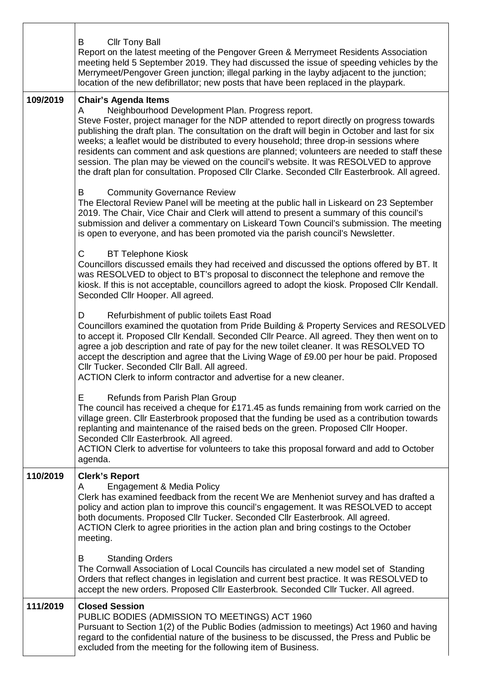|          | <b>Cllr Tony Ball</b><br>B<br>Report on the latest meeting of the Pengover Green & Merrymeet Residents Association<br>meeting held 5 September 2019. They had discussed the issue of speeding vehicles by the<br>Merrymeet/Pengover Green junction; illegal parking in the layby adjacent to the junction;<br>location of the new defibrillator; new posts that have been replaced in the playpark.                                                                                                                                                                                                                                                                  |
|----------|----------------------------------------------------------------------------------------------------------------------------------------------------------------------------------------------------------------------------------------------------------------------------------------------------------------------------------------------------------------------------------------------------------------------------------------------------------------------------------------------------------------------------------------------------------------------------------------------------------------------------------------------------------------------|
| 109/2019 | <b>Chair's Agenda Items</b><br>Neighbourhood Development Plan. Progress report.<br>A<br>Steve Foster, project manager for the NDP attended to report directly on progress towards<br>publishing the draft plan. The consultation on the draft will begin in October and last for six<br>weeks; a leaflet would be distributed to every household; three drop-in sessions where<br>residents can comment and ask questions are planned; volunteers are needed to staff these<br>session. The plan may be viewed on the council's website. It was RESOLVED to approve<br>the draft plan for consultation. Proposed Cllr Clarke. Seconded Cllr Easterbrook. All agreed. |
|          | B<br><b>Community Governance Review</b><br>The Electoral Review Panel will be meeting at the public hall in Liskeard on 23 September<br>2019. The Chair, Vice Chair and Clerk will attend to present a summary of this council's<br>submission and deliver a commentary on Liskeard Town Council's submission. The meeting<br>is open to everyone, and has been promoted via the parish council's Newsletter.                                                                                                                                                                                                                                                        |
|          | C<br><b>BT Telephone Kiosk</b><br>Councillors discussed emails they had received and discussed the options offered by BT. It<br>was RESOLVED to object to BT's proposal to disconnect the telephone and remove the<br>kiosk. If this is not acceptable, councillors agreed to adopt the kiosk. Proposed Cllr Kendall.<br>Seconded Cllr Hooper. All agreed.                                                                                                                                                                                                                                                                                                           |
|          | Refurbishment of public toilets East Road<br>D<br>Councillors examined the quotation from Pride Building & Property Services and RESOLVED<br>to accept it. Proposed Cllr Kendall. Seconded Cllr Pearce. All agreed. They then went on to<br>agree a job description and rate of pay for the new toilet cleaner. It was RESOLVED TO<br>accept the description and agree that the Living Wage of £9.00 per hour be paid. Proposed<br>Cllr Tucker. Seconded Cllr Ball. All agreed.<br>ACTION Clerk to inform contractor and advertise for a new cleaner.                                                                                                                |
|          | Е<br>Refunds from Parish Plan Group<br>The council has received a cheque for £171.45 as funds remaining from work carried on the<br>village green. Cllr Easterbrook proposed that the funding be used as a contribution towards<br>replanting and maintenance of the raised beds on the green. Proposed Cllr Hooper.<br>Seconded Cllr Easterbrook. All agreed.<br>ACTION Clerk to advertise for volunteers to take this proposal forward and add to October<br>agenda.                                                                                                                                                                                               |
| 110/2019 | <b>Clerk's Report</b><br>Engagement & Media Policy<br>A<br>Clerk has examined feedback from the recent We are Menheniot survey and has drafted a<br>policy and action plan to improve this council's engagement. It was RESOLVED to accept<br>both documents. Proposed Cllr Tucker. Seconded Cllr Easterbrook. All agreed.<br>ACTION Clerk to agree priorities in the action plan and bring costings to the October<br>meeting.                                                                                                                                                                                                                                      |
|          | <b>Standing Orders</b><br>B<br>The Cornwall Association of Local Councils has circulated a new model set of Standing<br>Orders that reflect changes in legislation and current best practice. It was RESOLVED to<br>accept the new orders. Proposed Cllr Easterbrook. Seconded Cllr Tucker. All agreed.                                                                                                                                                                                                                                                                                                                                                              |
| 111/2019 | <b>Closed Session</b><br>PUBLIC BODIES (ADMISSION TO MEETINGS) ACT 1960<br>Pursuant to Section 1(2) of the Public Bodies (admission to meetings) Act 1960 and having<br>regard to the confidential nature of the business to be discussed, the Press and Public be<br>excluded from the meeting for the following item of Business.                                                                                                                                                                                                                                                                                                                                  |